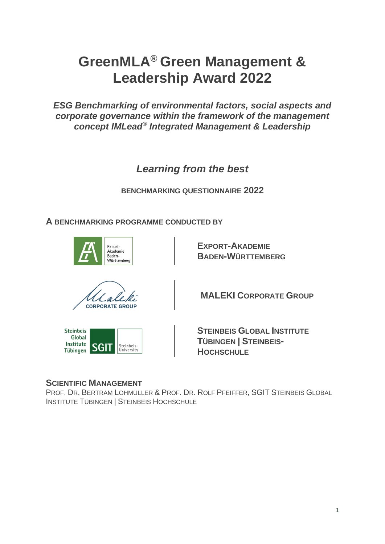# **GreenMLA® Green Management & Leadership Award 2022**

*ESG Benchmarking of environmental factors, social aspects and corporate governance within the framework of the management concept IMLead® Integrated Management & Leadership* 

*Learning from the best* 

**BENCHMARKING QUESTIONNAIRE 2022**

**A BENCHMARKING PROGRAMME CONDUCTED BY**



**EXPORT-AKADEMIE BADEN-WÜRTTEMBERG**



**MALEKI CORPORATE GROUP**



**STEINBEIS GLOBAL INSTITUTE TÜBINGEN | STEINBEIS-HOCHSCHULE** 

## **SCIENTIFIC MANAGEMENT**

PROF. DR. BERTRAM LOHMÜLLER & PROF. DR. ROLF PFEIFFER, SGIT STEINBEIS GLOBAL INSTITUTE TÜBINGEN | STEINBEIS HOCHSCHULE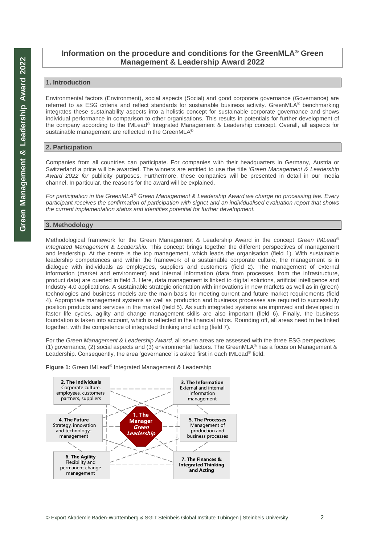## **Information on the procedure and conditions for the GreenMLA® Green Management & Leadership Award 2022**

#### **1. Introduction**

Environmental factors (Environment), social aspects (Social) and good corporate governance (Governance) are referred to as ESG criteria and reflect standards for sustainable business activity. GreenMLA® benchmarking integrates these sustainability aspects into a holistic concept for sustainable corporate governance and shows individual performance in comparison to other organisations. This results in potentials for further development of the company according to the IMLead® Integrated Management & Leadership concept. Overall, all aspects for sustainable management are reflected in the GreenMLA<sup>®</sup>

#### **2. Participation**

Companies from all countries can participate. For companies with their headquarters in Germany, Austria or Switzerland a price will be awarded. The winners are entitled to use the title *'Green Management & Leadership Award 2022 for* publicity purposes. Furthermore, these companies will be presented in detail in our media channel. In particular, the reasons for the award will be explained.

*For participation in the GreenMLA® Green Management & Leadership Award we charge no processing fee. Every participant receives the confirmation of participation with signet and an individualised evaluation report that shows the current implementation status and identifies potential for further development.*

## **3. Methodology**

Methodological framework for the Green Management & Leadership Award in the concept *Green IMLead® Integrated Management & Leadership.* This concept brings together the different perspectives of management and leadership. At the centre is the top management, which leads the organisation (field 1). With sustainable leadership competences and within the framework of a sustainable corporate culture, the management is in dialogue with individuals as employees, suppliers and customers (field 2). The management of external information (market and environment) and internal information (data from processes, from the infrastructure, product data) are queried in field 3. Here, data management is linked to digital solutions, artificial intelligence and Industry 4.0 applications. A sustainable strategic orientation with innovations in new markets as well as in (green) technologies and business models are the main basis for meeting current and future market requirements (field 4). Appropriate management systems as well as production and business processes are required to successfully position products and services in the market (field 5). As such integrated systems are improved and developed in faster life cycles, agility and change management skills are also important (field 6). Finally, the business foundation is taken into account, which is reflected in the financial ratios. Rounding off, all areas need to be linked together, with the competence of integrated thinking and acting (field 7).

For the *Green Management & Leadership Award,* all seven areas are assessed with the three ESG perspectives (1) governance, (2) social aspects and (3) environmental factors. The GreenMLA® has a focus on Management & Leadership. Consequently, the area 'governance' is asked first in each IMLead® field.



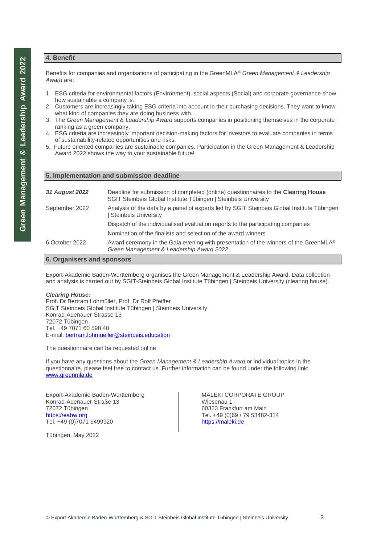#### **4. Benefit**

Benefits for companies and organisations of participating in the GreenMLA® *Green Management & Leadership*  Award are:

- 1. ESG criteria for environmental factors (Environment), social aspects (Social) and corporate governance show how sustainable a company is.
- 2. Customers are increasingly taking ESG criteria into account in their purchasing decisions. They want to know what kind of companies they are doing business with.
- 3. The *Green Management & Leadership Award* supports companies in positioning themselves in the corporate ranking as a green company.
- 4. ESG criteria are increasingly important decision-making factors for investors to evaluate companies in terms of sustainability-related opportunities and risks.
- 5. Future oriented companies are sustainable companies. Participation in the Green Management & Leadership Award 2022 shows the way to your sustainable future!

|  |  | 5. Implementation and submission deadline |  |  |  |
|--|--|-------------------------------------------|--|--|--|
|--|--|-------------------------------------------|--|--|--|

| 31 August 2022            | Deadline for submission of completed (online) questionnaires to the <b>Clearing House</b><br>SGIT Steinbeis Global Institute Tübingen   Steinbeis University |  |  |
|---------------------------|--------------------------------------------------------------------------------------------------------------------------------------------------------------|--|--|
| September 2022            | Analysis of the data by a panel of experts led by SGIT Steinbeis Global Institute Tübingen<br>Steinbeis University                                           |  |  |
|                           | Dispatch of the individualised evaluation reports to the participating companies                                                                             |  |  |
|                           | Nomination of the finalists and selection of the award winners                                                                                               |  |  |
| 6 October 2022            | Award ceremony in the Gala evening with presentation of the winners of the GreenMLA <sup>®</sup><br>Green Management & Leadership Award 2022                 |  |  |
| 6 Organicare and chancers |                                                                                                                                                              |  |  |

#### **6. Organisers and sponsors**

Export-Akademie Baden-Württemberg organises the Green Management & Leadership Award. Data collection and analysis is carried out by SGIT-Steinbeis Global Institute Tübingen | Steinbeis University (clearing house).

#### *Clearing House:*

Prof. Dr Bertram Lohmüller, Prof. Dr Rolf Pfeiffer SGIT Steinbeis Global Institute Tübingen | Steinbeis University Konrad-Adenauer-Strasse 13 72072 Tübingen Tel. +49 7071 60 598 40 E-mail: [bertram.lohmueller@steinbeis.education](mailto:bertram.lohmueller@steinbeis.education) 

The questionnaire can be requested online

If you have any questions about the *Green Management & Leadership Award* or individual topics in the questionnaire, please feel free to contact us. Further information can be found under the following link: [www.greenmla.de](http://www.greenmla.de/) 

Export-Akademie Baden-Württemberg Konrad-Adenauer-Straße 13 72072 Tübingen [https://eabw.org](https://eabw.org/) Tel. +49 (0)7071 5499920

Tübingen, May 2022

MALEKI CORPORATE GROUP Wiesenau 1 60323 Frankfurt am Main Tel. +49 (0)69 / 79 53482-314 [https://maleki.de](https://maleki.de/)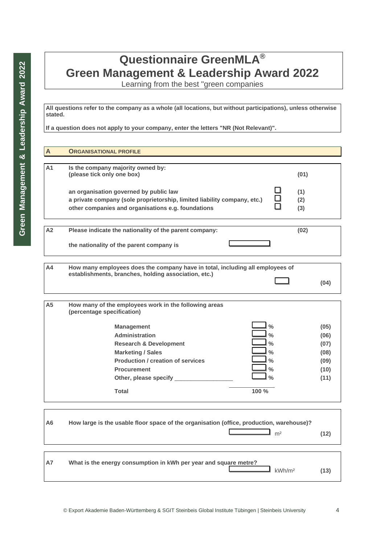## **Questionnaire GreenMLA® Green Management & Leadership Award 2022**

Learning from the best "green companies

**All questions refer to the company as a whole (all locations, but without participations), unless otherwise stated.**

**If a question does not apply to your company, enter the letters "NR (Not Relevant)".** 

| $\overline{A}$ | <b>ORGANISATIONAL PROFILE</b>                                                                                                                                                                                                                                                                                                                     |                   |                                                      |
|----------------|---------------------------------------------------------------------------------------------------------------------------------------------------------------------------------------------------------------------------------------------------------------------------------------------------------------------------------------------------|-------------------|------------------------------------------------------|
|                |                                                                                                                                                                                                                                                                                                                                                   |                   |                                                      |
| A1             | Is the company majority owned by:<br>(please tick only one box)                                                                                                                                                                                                                                                                                   | (01)              |                                                      |
|                | an organisation governed by public law<br>a private company (sole proprietorship, limited liability company, etc.)<br>other companies and organisations e.g. foundations                                                                                                                                                                          | (1)<br>(2)<br>(3) |                                                      |
| A2             | Please indicate the nationality of the parent company:                                                                                                                                                                                                                                                                                            | (02)              |                                                      |
|                | the nationality of the parent company is                                                                                                                                                                                                                                                                                                          |                   |                                                      |
| Α4             | How many employees does the company have in total, including all employees of                                                                                                                                                                                                                                                                     |                   |                                                      |
|                | establishments, branches, holding association, etc.)                                                                                                                                                                                                                                                                                              |                   | (04)                                                 |
|                |                                                                                                                                                                                                                                                                                                                                                   |                   |                                                      |
| A <sub>5</sub> | How many of the employees work in the following areas<br>(percentage specification)                                                                                                                                                                                                                                                               |                   |                                                      |
|                | $\frac{0}{0}$<br><b>Management</b><br>$\frac{0}{0}$<br><b>Administration</b><br>$\frac{0}{0}$<br><b>Research &amp; Development</b><br>$\frac{0}{0}$<br><b>Marketing / Sales</b><br><b>Production / creation of services</b><br>$\frac{0}{0}$<br>$\frac{0}{0}$<br><b>Procurement</b><br>$\frac{0}{0}$<br>Other, please specify _<br>100 %<br>Total |                   | (05)<br>(06)<br>(07)<br>(08)<br>(09)<br>(10)<br>(11) |
| A6             | How large is the usable floor space of the organisation (office, production, warehouse)?<br>m <sup>2</sup>                                                                                                                                                                                                                                        |                   | (12)                                                 |
|                |                                                                                                                                                                                                                                                                                                                                                   |                   |                                                      |
| А7             | What is the energy consumption in kWh per year and square metre?<br>kWh/m <sup>2</sup>                                                                                                                                                                                                                                                            |                   | (13)                                                 |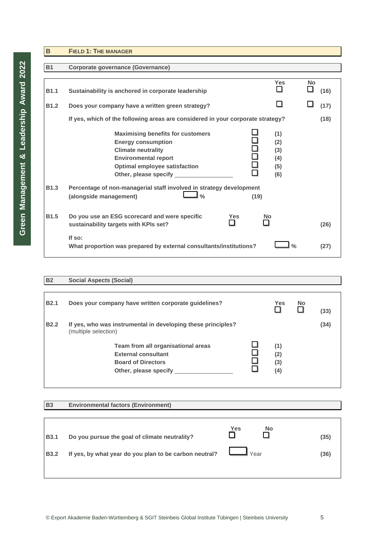| $\mathbf B$ | <b>FIELD 1: THE MANAGER</b>                                                                                                                                                                                                  |                                        |           |
|-------------|------------------------------------------------------------------------------------------------------------------------------------------------------------------------------------------------------------------------------|----------------------------------------|-----------|
|             |                                                                                                                                                                                                                              |                                        |           |
| <b>B1</b>   | <b>Corporate governance (Governance)</b>                                                                                                                                                                                     |                                        |           |
|             |                                                                                                                                                                                                                              |                                        | <b>No</b> |
| <b>B1.1</b> | Sustainability is anchored in corporate leadership                                                                                                                                                                           | <b>Yes</b>                             | (16)      |
| <b>B1.2</b> | Does your company have a written green strategy?                                                                                                                                                                             |                                        | (17)      |
|             | If yes, which of the following areas are considered in your corporate strategy?                                                                                                                                              |                                        | (18)      |
|             | <b>Maximising benefits for customers</b><br><b>Energy consumption</b><br>古口<br><b>Climate neutrality</b><br><b>Environmental report</b><br><b>Optimal employee satisfaction</b><br>$\Box$<br>Other, please specify _________ | (1)<br>(2)<br>(3)<br>(4)<br>(5)<br>(6) |           |
| <b>B1.3</b> | Percentage of non-managerial staff involved in strategy development<br>$\frac{0}{0}$<br>(alongside management)<br>(19)                                                                                                       |                                        |           |
| <b>B1.5</b> | Do you use an ESG scorecard and were specific<br><b>Yes</b><br>No<br>sustainability targets with KPIs set?                                                                                                                   |                                        | (26)      |
|             | If so:<br>What proportion was prepared by external consultants/institutions?                                                                                                                                                 | $\frac{0}{0}$                          | (27)      |

## **B2 Social Aspects (Social)**

| <b>B2.1</b> | Does your company have written corporate guidelines?                                                                   | <b>Yes</b>               | <b>No</b> | (33) |
|-------------|------------------------------------------------------------------------------------------------------------------------|--------------------------|-----------|------|
| <b>B2.2</b> | If yes, who was instrumental in developing these principles?<br>(multiple selection)                                   |                          |           | (34) |
|             | Team from all organisational areas<br><b>External consultant</b><br><b>Board of Directors</b><br>Other, please specify | (1)<br>(2)<br>(3)<br>(4) |           |      |

## **B3 Environmental factors (Environment)**

| <b>B3.1</b> | Do you pursue the goal of climate neutrality?                      | Yes<br><b>No</b> | (35) |
|-------------|--------------------------------------------------------------------|------------------|------|
| <b>B3.2</b> | If yes, by what year do you plan to be carbon neutral? $\Box$ Year |                  | (36) |
|             |                                                                    |                  |      |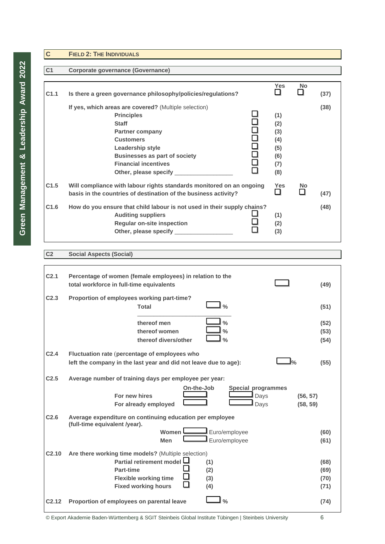| $\mathbf{C}$     | <b>FIELD 2: THE INDIVIDUALS</b>                                                                                                                                                                                                                                               |                                                      |           |      |
|------------------|-------------------------------------------------------------------------------------------------------------------------------------------------------------------------------------------------------------------------------------------------------------------------------|------------------------------------------------------|-----------|------|
|                  |                                                                                                                                                                                                                                                                               |                                                      |           |      |
| C <sub>1</sub>   | <b>Corporate governance (Governance)</b>                                                                                                                                                                                                                                      |                                                      |           |      |
| C <sub>1.1</sub> | Is there a green governance philosophy/policies/regulations?                                                                                                                                                                                                                  | <b>Yes</b>                                           | <b>No</b> | (37) |
|                  | If yes, which areas are covered? (Multiple selection)<br><b>Principles</b><br><b>Staff</b><br><b>Partner company</b><br>10000<br>0000<br><b>Customers</b><br>Leadership style<br><b>Businesses as part of society</b><br><b>Financial incentives</b><br>Other, please specify | (1)<br>(2)<br>(3)<br>(4)<br>(5)<br>(6)<br>(7)<br>(8) |           | (38) |
| C <sub>1.5</sub> | Will compliance with labour rights standards monitored on an ongoing<br>basis in the countries of destination of the business activity?                                                                                                                                       | <b>Yes</b>                                           | No        | (47) |
| C1.6             | How do you ensure that child labour is not used in their supply chains?<br><b>Auditing suppliers</b><br><b>Regular on-site inspection</b><br>Other, please specify ______________                                                                                             | (1)<br>(2)<br>(3)                                    |           | (48) |

## **C2 Social Aspects (Social)**

| C <sub>2.1</sub>  | Percentage of women (female employees) in relation to the<br>total workforce in full-time equivalents                                                                                    | (49)                         |
|-------------------|------------------------------------------------------------------------------------------------------------------------------------------------------------------------------------------|------------------------------|
| C <sub>2.3</sub>  | Proportion of employees working part-time?<br>$\frac{0}{0}$<br><b>Total</b>                                                                                                              | (51)                         |
|                   | thereof men<br>$\frac{0}{0}$<br>thereof women<br>$\frac{0}{0}$<br>thereof divers/other<br>$\frac{0}{0}$                                                                                  | (52)<br>(53)<br>(54)         |
| C <sub>2.4</sub>  | Fluctuation rate (percentage of employees who<br>left the company in the last year and did not leave due to age):                                                                        | (55)                         |
| C <sub>2.5</sub>  | Average number of training days per employee per year:<br>On-the-Job<br>Special programmes                                                                                               |                              |
|                   | For new hires<br>Days<br>For already employed<br>Days                                                                                                                                    | (56, 57)<br>(58, 59)         |
| C <sub>2.6</sub>  | Average expenditure on continuing education per employee<br>(full-time equivalent /year).                                                                                                |                              |
|                   | Euro/employee<br>Women<br>Euro/employee<br>Men                                                                                                                                           | (60)<br>(61)                 |
| C <sub>2.10</sub> | Are there working time models? (Multiple selection)<br>Partial retirement model L<br>(1)<br>Part-time<br>(2)<br><b>Flexible working time</b><br>(3)<br><b>Fixed working hours</b><br>(4) | (68)<br>(69)<br>(70)<br>(71) |
| C <sub>2.12</sub> | $\frac{0}{0}$<br>Proportion of employees on parental leave                                                                                                                               | (74)                         |